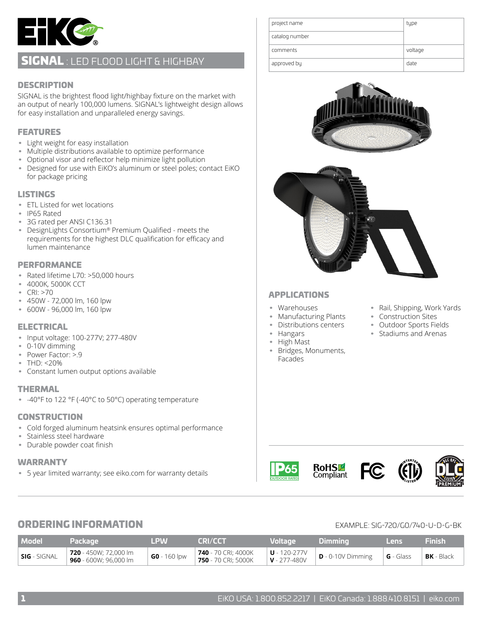

# **SIGNAL** : LED FLOOD LIGHT & HIGHBAY

### **DESCRIPTION**

SIGNAL is the brightest flood light/highbay fixture on the market with an output of nearly 100,000 lumens. SIGNAL's lightweight design allows for easy installation and unparalleled energy savings.

### FEATURES

- Light weight for easy installation
- Multiple distributions available to optimize performance
- Optional visor and reflector help minimize light pollution
- Designed for use with EiKO's aluminum or steel poles; contact EiKO for package pricing

#### **LISTINGS**

- ETL Listed for wet locations
- IP65 Rated
- 3G rated per ANSI C136.31
- DesignLights Consortium® Premium Qualified meets the requirements for the highest DLC qualification for efficacy and lumen maintenance

## PERFORMANCE

- Rated lifetime L70: >50,000 hours
- 4000K, 5000K CCT
- CRI: >70
- 450W 72,000 lm, 160 lpw
- 600W 96,000 lm, 160 lpw

#### ELECTRICAL

- Input voltage: 100-277V; 277-480V
- 0-10V dimming
- Power Factor: >.9
- THD: <20%
- Constant lumen output options available

#### THERMAL

• -40°F to 122 °F (-40°C to 50°C) operating temperature

#### **CONSTRUCTION**

- Cold forged aluminum heatsink ensures optimal performance
- Stainless steel hardware
- Durable powder coat finish

### WARRANTY

• 5 year limited warranty; see eiko.com for warranty details

| project name   | type    |
|----------------|---------|
| catalog number |         |
| comments       | voltage |
| approved by    | date    |





## APPLICATIONS

- Warehouses
- Manufacturing Plants
- Distributions centers
- Hangars
- High Mast
- Bridges, Monuments, Facades
- Rail, Shipping, Work Yards
- Construction Sites
- Outdoor Sports Fields
- Stadiums and Arenas









## ORDERING INFORMATION EXAMPLE: SIG-720/G0/740-U-D-G-BK

**CETL** 

| Model <sup>\</sup> | <b>Package</b>                                 | LPW            | <b>CRI/CCT</b>                             | <b>Voltage</b>                              | <b>Dimmina</b>                                            | Lens | Finish       |
|--------------------|------------------------------------------------|----------------|--------------------------------------------|---------------------------------------------|-----------------------------------------------------------|------|--------------|
| SIG - SIGNAL       | 720 - 450W; 72,000 lm<br>960 - 600W; 96,000 lm | $GO - 160$ lpw | 740 - 70 CRI; 4000K<br>750 - 70 CRI; 5000K | $ $ U - 120-277V<br>$\mathsf{V}$ - 277-480V | $\vert$ <b>D</b> - 0-10V Dimming $\vert$ <b>G</b> - Glass |      | $BK - Black$ |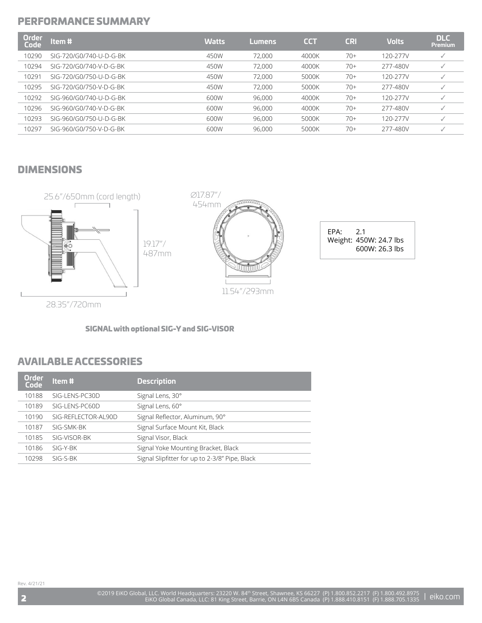# PERFORMANCE SUMMARY

| Order<br>Code | ltem #                  | <b>Watts</b> | Lumens | <b>CCT</b> | <b>CRI</b> | <b>Volts</b> | <b>DLC</b><br>Premium |
|---------------|-------------------------|--------------|--------|------------|------------|--------------|-----------------------|
| 10290         | SIG-720/G0/740-U-D-G-BK | 450W         | 72,000 | 4000K      | $70+$      | 120-277V     |                       |
| 10294         | SIG-720/G0/740-V-D-G-BK | 450W         | 72,000 | 4000K      | $70+$      | 277-480V     |                       |
| 10291         | SIG-720/G0/750-U-D-G-BK | 450W         | 72,000 | 5000K      | $70+$      | 120-277V     |                       |
| 10295         | SIG-720/G0/750-V-D-G-BK | 450W         | 72,000 | 5000K      | $70+$      | 277-480V     |                       |
| 10292         | SIG-960/G0/740-U-D-G-BK | 600W         | 96,000 | 4000K      | $70+$      | 120-277V     |                       |
| 10296         | SIG-960/G0/740-V-D-G-BK | 600W         | 96,000 | 4000K      | $70+$      | 277-480V     | ✓                     |
| 10293         | SIG-960/G0/750-U-D-G-BK | 600W         | 96,000 | 5000K      | $70+$      | 120-277V     |                       |
| 10297         | SIG-960/G0/750-V-D-G-BK | 600W         | 96,000 | 5000K      | $70+$      | 277-480V     | √                     |

## DIMENSIONS



EPA: 2.1 Weight: 450W: 24.7 lbs 600W: 26.3 lbs

SIGNAL with optional SIG-Y and SIG-VISOR

## AVAILABLE ACCESSORIES

| Order<br>Code | Item#               | <b>Description</b>                             |
|---------------|---------------------|------------------------------------------------|
| 10188         | SIG-LENS-PC30D      | Signal Lens, 30°                               |
| 10189         | SIG-LENS-PC60D      | Signal Lens, 60°                               |
| 10190         | SIG-REFLECTOR-AL90D | Signal Reflector, Aluminum, 90°                |
| 10187         | SIG-SMK-BK          | Signal Surface Mount Kit, Black                |
| 10185         | SIG-VISOR-BK        | Signal Visor, Black                            |
| 10186         | SIG-Y-BK            | Signal Yoke Mounting Bracket, Black            |
| 10298         | SIG-S-BK            | Signal Slipfitter for up to 2-3/8" Pipe, Black |